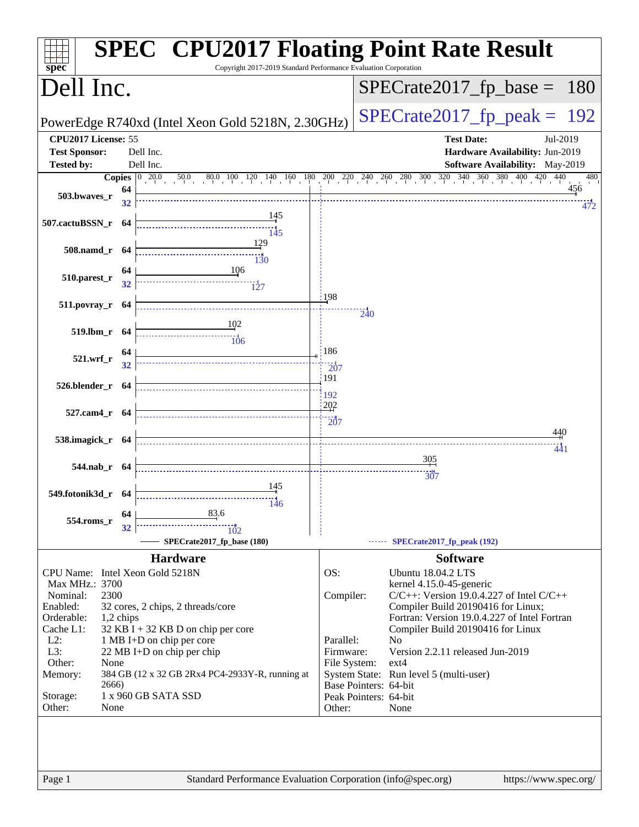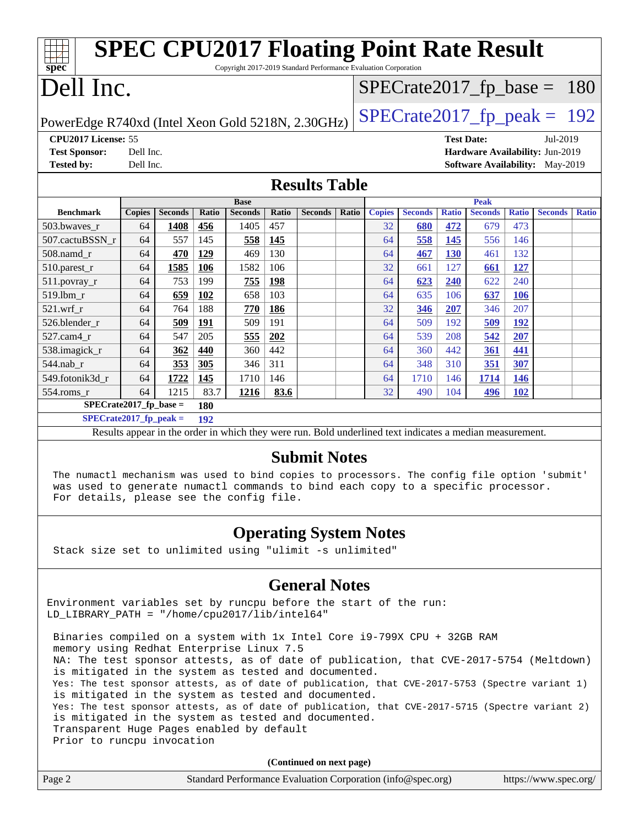| <b>SPEC CPU2017 Floating Point Rate Result</b>                                                           |               |                |       |                |              |                         |       |               |                |              |                |              |                                 |              |
|----------------------------------------------------------------------------------------------------------|---------------|----------------|-------|----------------|--------------|-------------------------|-------|---------------|----------------|--------------|----------------|--------------|---------------------------------|--------------|
| Copyright 2017-2019 Standard Performance Evaluation Corporation<br>spec                                  |               |                |       |                |              |                         |       |               |                |              |                |              |                                 |              |
| Dell Inc.                                                                                                |               |                |       |                |              | $SPECrate2017fp base =$ |       |               |                |              | 180            |              |                                 |              |
| $SPECTate2017$ _fp_peak = 192<br>PowerEdge R740xd (Intel Xeon Gold 5218N, 2.30GHz)                       |               |                |       |                |              |                         |       |               |                |              |                |              |                                 |              |
| CPU2017 License: 55<br><b>Test Date:</b><br>Jul-2019                                                     |               |                |       |                |              |                         |       |               |                |              |                |              |                                 |              |
| <b>Test Sponsor:</b>                                                                                     | Dell Inc.     |                |       |                |              |                         |       |               |                |              |                |              | Hardware Availability: Jun-2019 |              |
| <b>Tested by:</b>                                                                                        | Dell Inc.     |                |       |                |              |                         |       |               |                |              |                |              | Software Availability: May-2019 |              |
| <b>Results Table</b>                                                                                     |               |                |       |                |              |                         |       |               |                |              |                |              |                                 |              |
|                                                                                                          |               |                |       | <b>Base</b>    |              |                         |       |               |                |              | <b>Peak</b>    |              |                                 |              |
| <b>Benchmark</b>                                                                                         | <b>Copies</b> | <b>Seconds</b> | Ratio | <b>Seconds</b> | <b>Ratio</b> | <b>Seconds</b>          | Ratio | <b>Copies</b> | <b>Seconds</b> | <b>Ratio</b> | <b>Seconds</b> | <b>Ratio</b> | <b>Seconds</b>                  | <b>Ratio</b> |
| 503.bwaves_r                                                                                             | 64            | 1408           | 456   | 1405           | 457          |                         |       | 32            | 680            | 472          | 679            | 473          |                                 |              |
| 507.cactuBSSN r                                                                                          | 64            | 557            | 145   | 558            | 145          |                         |       | 64            | 558            | 145          | 556            | 146          |                                 |              |
| 508.namd r                                                                                               | 64            | 470            | 129   | 469            | 130          |                         |       | 64            | 467            | 130          | 461            | 132          |                                 |              |
| 510.parest_r                                                                                             | 64            | 1585           | 106   | 1582           | 106          |                         |       | 32            | 661            | 127          | 661            | 127          |                                 |              |
| 511.povray_r                                                                                             | 64            | 753            | 199   | 755            | 198          |                         |       | 64            | 623            | 240          | 622            | 240          |                                 |              |
| 519.1bm r                                                                                                | 64            | 659            | 102   | 658            | 103          |                         |       | 64            | 635            | 106          | 637            | <b>106</b>   |                                 |              |
| $521.wrf_r$                                                                                              | 64            | 764            | 188   | 770            | 186          |                         |       | 32            | 346            | 207          | 346            | 207          |                                 |              |
| 526.blender r                                                                                            | 64            | 509            | 191   | 509            | 191          |                         |       | 64            | 509            | 192          | 509            | <u>192</u>   |                                 |              |
| 527.cam4 r                                                                                               | 64            | 547            | 205   | 555            | 202          |                         |       | 64            | 539            | 208          | 542            | 207          |                                 |              |
| 538.imagick_r                                                                                            | 64            | 362            | 440   | 360            | 442          |                         |       | 64            | 360            | 442          | 361            | 441          |                                 |              |
| 544.nab_r                                                                                                | 64            | 353            | 305   | 346            | 311          |                         |       | 64            | 348            | 310          | 351            | 307          |                                 |              |
| 549.fotonik3d r                                                                                          | 64            | 1722           | 145   | 1710           | 146          |                         |       | 64            | 1710           | 146          | 1714           | <b>146</b>   |                                 |              |
| 554.roms r                                                                                               | 64            | 1215           | 83.7  | 1216           | 83.6         |                         |       | 32            | 490            | 104          | 496            | 102          |                                 |              |
| $SPECrate2017_fp\_base =$                                                                                |               |                | 180   |                |              |                         |       |               |                |              |                |              |                                 |              |
| $SPECrate2017_fp\_peak =$                                                                                |               |                | 192   |                |              |                         |       |               |                |              |                |              |                                 |              |
| Results appear in the order in which they were run. Bold underlined text indicates a median measurement. |               |                |       |                |              |                         |       |               |                |              |                |              |                                 |              |
| $C_{\text{in}}$ $\mathbf{h}_{\text{in}}$ $\mathbf{M}_{\text{out}}$                                       |               |                |       |                |              |                         |       |               |                |              |                |              |                                 |              |

#### **[Submit Notes](http://www.spec.org/auto/cpu2017/Docs/result-fields.html#SubmitNotes)**

 The numactl mechanism was used to bind copies to processors. The config file option 'submit' was used to generate numactl commands to bind each copy to a specific processor. For details, please see the config file.

#### **[Operating System Notes](http://www.spec.org/auto/cpu2017/Docs/result-fields.html#OperatingSystemNotes)**

Stack size set to unlimited using "ulimit -s unlimited"

#### **[General Notes](http://www.spec.org/auto/cpu2017/Docs/result-fields.html#GeneralNotes)**

Environment variables set by runcpu before the start of the run: LD\_LIBRARY\_PATH = "/home/cpu2017/lib/intel64"

 Binaries compiled on a system with 1x Intel Core i9-799X CPU + 32GB RAM memory using Redhat Enterprise Linux 7.5 NA: The test sponsor attests, as of date of publication, that CVE-2017-5754 (Meltdown) is mitigated in the system as tested and documented. Yes: The test sponsor attests, as of date of publication, that CVE-2017-5753 (Spectre variant 1) is mitigated in the system as tested and documented. Yes: The test sponsor attests, as of date of publication, that CVE-2017-5715 (Spectre variant 2) is mitigated in the system as tested and documented. Transparent Huge Pages enabled by default Prior to runcpu invocation

**(Continued on next page)**

| Page 2 | Standard Performance Evaluation Corporation (info@spec.org) | https://www.spec.org/ |
|--------|-------------------------------------------------------------|-----------------------|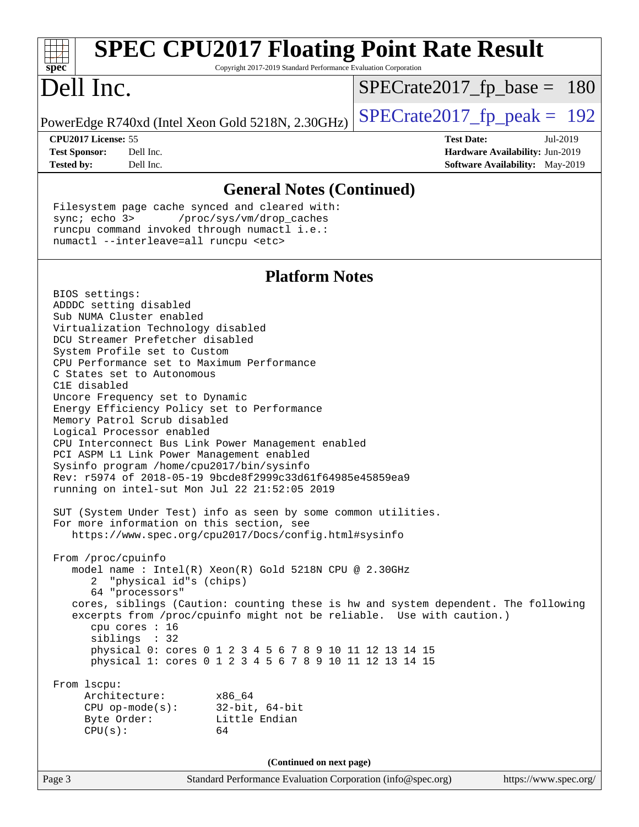| <b>SPEC CPU2017 Floating Point Rate Result</b><br>spec <sup>®</sup><br>Copyright 2017-2019 Standard Performance Evaluation Corporation                                                                                                                                                                                                                                                                                                                                                                                                                                                                                                                                                                                                                                                                                                                                                                                                                                                                                                                                                                                                                                                                                                                                                                                                                                                                                                                           |                                                                                                            |
|------------------------------------------------------------------------------------------------------------------------------------------------------------------------------------------------------------------------------------------------------------------------------------------------------------------------------------------------------------------------------------------------------------------------------------------------------------------------------------------------------------------------------------------------------------------------------------------------------------------------------------------------------------------------------------------------------------------------------------------------------------------------------------------------------------------------------------------------------------------------------------------------------------------------------------------------------------------------------------------------------------------------------------------------------------------------------------------------------------------------------------------------------------------------------------------------------------------------------------------------------------------------------------------------------------------------------------------------------------------------------------------------------------------------------------------------------------------|------------------------------------------------------------------------------------------------------------|
| Dell Inc.                                                                                                                                                                                                                                                                                                                                                                                                                                                                                                                                                                                                                                                                                                                                                                                                                                                                                                                                                                                                                                                                                                                                                                                                                                                                                                                                                                                                                                                        | $SPECrate2017_fp\_base = 180$                                                                              |
| PowerEdge R740xd (Intel Xeon Gold 5218N, 2.30GHz)                                                                                                                                                                                                                                                                                                                                                                                                                                                                                                                                                                                                                                                                                                                                                                                                                                                                                                                                                                                                                                                                                                                                                                                                                                                                                                                                                                                                                | $SPECrate2017_fp\_peak = 192$                                                                              |
| CPU2017 License: 55<br><b>Test Sponsor:</b><br>Dell Inc.<br><b>Tested by:</b><br>Dell Inc.                                                                                                                                                                                                                                                                                                                                                                                                                                                                                                                                                                                                                                                                                                                                                                                                                                                                                                                                                                                                                                                                                                                                                                                                                                                                                                                                                                       | <b>Test Date:</b><br>Jul-2019<br>Hardware Availability: Jun-2019<br><b>Software Availability:</b> May-2019 |
| <b>General Notes (Continued)</b>                                                                                                                                                                                                                                                                                                                                                                                                                                                                                                                                                                                                                                                                                                                                                                                                                                                                                                                                                                                                                                                                                                                                                                                                                                                                                                                                                                                                                                 |                                                                                                            |
| Filesystem page cache synced and cleared with:<br>sync; echo 3><br>/proc/sys/vm/drop_caches<br>runcpu command invoked through numactl i.e.:<br>numactl --interleave=all runcpu <etc></etc>                                                                                                                                                                                                                                                                                                                                                                                                                                                                                                                                                                                                                                                                                                                                                                                                                                                                                                                                                                                                                                                                                                                                                                                                                                                                       |                                                                                                            |
| <b>Platform Notes</b>                                                                                                                                                                                                                                                                                                                                                                                                                                                                                                                                                                                                                                                                                                                                                                                                                                                                                                                                                                                                                                                                                                                                                                                                                                                                                                                                                                                                                                            |                                                                                                            |
| BIOS settings:<br>ADDDC setting disabled<br>Sub NUMA Cluster enabled<br>Virtualization Technology disabled<br>DCU Streamer Prefetcher disabled<br>System Profile set to Custom<br>CPU Performance set to Maximum Performance<br>C States set to Autonomous<br>C1E disabled<br>Uncore Frequency set to Dynamic<br>Energy Efficiency Policy set to Performance<br>Memory Patrol Scrub disabled<br>Logical Processor enabled<br>CPU Interconnect Bus Link Power Management enabled<br>PCI ASPM L1 Link Power Management enabled<br>Sysinfo program /home/cpu2017/bin/sysinfo<br>Rev: r5974 of 2018-05-19 9bcde8f2999c33d61f64985e45859ea9<br>running on intel-sut Mon Jul 22 21:52:05 2019<br>SUT (System Under Test) info as seen by some common utilities.<br>For more information on this section, see<br>https://www.spec.org/cpu2017/Docs/config.html#sysinfo<br>From /proc/cpuinfo<br>model name : Intel(R) Xeon(R) Gold 5218N CPU @ 2.30GHz<br>"physical id"s (chips)<br>64 "processors"<br>cores, siblings (Caution: counting these is hw and system dependent. The following<br>excerpts from /proc/cpuinfo might not be reliable. Use with caution.)<br>cpu cores : 16<br>siblings : 32<br>physical 0: cores 0 1 2 3 4 5 6 7 8 9 10 11 12 13 14 15<br>physical 1: cores 0 1 2 3 4 5 6 7 8 9 10 11 12 13 14 15<br>From 1scpu:<br>Architecture:<br>x86 64<br>$CPU$ op-mode( $s$ ):<br>$32$ -bit, $64$ -bit<br>Byte Order:<br>Little Endian<br>CPU(s):<br>64 |                                                                                                            |
| (Continued on next page)                                                                                                                                                                                                                                                                                                                                                                                                                                                                                                                                                                                                                                                                                                                                                                                                                                                                                                                                                                                                                                                                                                                                                                                                                                                                                                                                                                                                                                         |                                                                                                            |
| Standard Performance Evaluation Corporation (info@spec.org)<br>Page 3                                                                                                                                                                                                                                                                                                                                                                                                                                                                                                                                                                                                                                                                                                                                                                                                                                                                                                                                                                                                                                                                                                                                                                                                                                                                                                                                                                                            | https://www.spec.org/                                                                                      |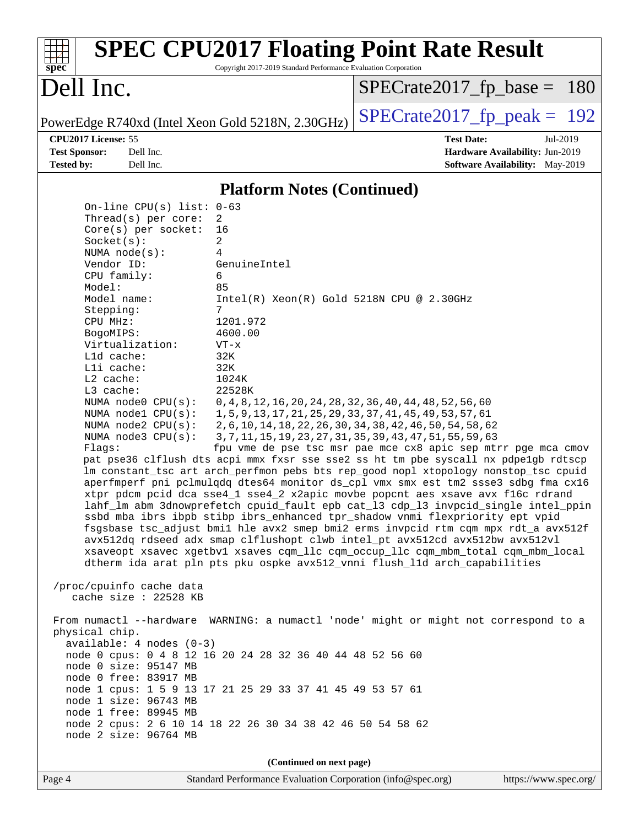| $spec^*$                                                                                                                                                                                                                                                                                                                                                                                                                                                                                                                                                                                                                                                                                                                                                                                                                                                                                                      | Copyright 2017-2019 Standard Performance Evaluation Corporation                                                                                                    | <b>SPEC CPU2017 Floating Point Rate Result</b>                                                                                                                                                                                                                                                                                                                                                                                                                                                                                                                                                                                                                                                                                                                                                                                                                                                                                                                                                                                                                                                                                                                                                |                                                                                       |  |
|---------------------------------------------------------------------------------------------------------------------------------------------------------------------------------------------------------------------------------------------------------------------------------------------------------------------------------------------------------------------------------------------------------------------------------------------------------------------------------------------------------------------------------------------------------------------------------------------------------------------------------------------------------------------------------------------------------------------------------------------------------------------------------------------------------------------------------------------------------------------------------------------------------------|--------------------------------------------------------------------------------------------------------------------------------------------------------------------|-----------------------------------------------------------------------------------------------------------------------------------------------------------------------------------------------------------------------------------------------------------------------------------------------------------------------------------------------------------------------------------------------------------------------------------------------------------------------------------------------------------------------------------------------------------------------------------------------------------------------------------------------------------------------------------------------------------------------------------------------------------------------------------------------------------------------------------------------------------------------------------------------------------------------------------------------------------------------------------------------------------------------------------------------------------------------------------------------------------------------------------------------------------------------------------------------|---------------------------------------------------------------------------------------|--|
| Dell Inc.                                                                                                                                                                                                                                                                                                                                                                                                                                                                                                                                                                                                                                                                                                                                                                                                                                                                                                     |                                                                                                                                                                    | $SPECrate2017_fp\_base = 180$                                                                                                                                                                                                                                                                                                                                                                                                                                                                                                                                                                                                                                                                                                                                                                                                                                                                                                                                                                                                                                                                                                                                                                 |                                                                                       |  |
| PowerEdge R740xd (Intel Xeon Gold 5218N, 2.30GHz)                                                                                                                                                                                                                                                                                                                                                                                                                                                                                                                                                                                                                                                                                                                                                                                                                                                             |                                                                                                                                                                    | $SPECTate2017$ _fp_peak = 192                                                                                                                                                                                                                                                                                                                                                                                                                                                                                                                                                                                                                                                                                                                                                                                                                                                                                                                                                                                                                                                                                                                                                                 |                                                                                       |  |
| CPU2017 License: 55<br><b>Test Sponsor:</b><br>Dell Inc.<br><b>Tested by:</b><br>Dell Inc.                                                                                                                                                                                                                                                                                                                                                                                                                                                                                                                                                                                                                                                                                                                                                                                                                    |                                                                                                                                                                    | <b>Test Date:</b>                                                                                                                                                                                                                                                                                                                                                                                                                                                                                                                                                                                                                                                                                                                                                                                                                                                                                                                                                                                                                                                                                                                                                                             | Jul-2019<br>Hardware Availability: Jun-2019<br><b>Software Availability:</b> May-2019 |  |
|                                                                                                                                                                                                                                                                                                                                                                                                                                                                                                                                                                                                                                                                                                                                                                                                                                                                                                               | <b>Platform Notes (Continued)</b>                                                                                                                                  |                                                                                                                                                                                                                                                                                                                                                                                                                                                                                                                                                                                                                                                                                                                                                                                                                                                                                                                                                                                                                                                                                                                                                                                               |                                                                                       |  |
| On-line CPU(s) list: $0-63$<br>Thread(s) per core:<br>Core(s) per socket:<br>Socket(s):<br>NUMA node(s):<br>Vendor ID:<br>CPU family:<br>Model:<br>Model name:<br>Stepping:<br>CPU MHz:<br>BogoMIPS:<br>Virtualization:<br>L1d cache:<br>Lli cache:<br>L2 cache:<br>L3 cache:<br>NUMA $node0$ $CPU(s):$<br>NUMA $node1$ $CPU(s):$<br>NUMA $node2$ $CPU(s):$<br>NUMA node3 CPU(s):<br>Flags:<br>/proc/cpuinfo cache data<br>cache size : 22528 KB<br>From numactl --hardware WARNING: a numactl 'node' might or might not correspond to a<br>physical chip.<br>$available: 4 nodes (0-3)$<br>node 0 cpus: 0 4 8 12 16 20 24 28 32 36 40 44 48 52 56 60<br>node 0 size: 95147 MB<br>node 0 free: 83917 MB<br>node 1 cpus: 1 5 9 13 17 21 25 29 33 37 41 45 49 53 57 61<br>node 1 size: 96743 MB<br>node 1 free: 89945 MB<br>node 2 cpus: 2 6 10 14 18 22 26 30 34 38 42 46 50 54 58 62<br>node 2 size: 96764 MB | 2<br>16<br>2<br>4<br>GenuineIntel<br>6<br>85<br>Intel(R) Xeon(R) Gold 5218N CPU @ 2.30GHz<br>7<br>1201.972<br>4600.00<br>$VT - x$<br>32K<br>32K<br>1024K<br>22528K | 0, 4, 8, 12, 16, 20, 24, 28, 32, 36, 40, 44, 48, 52, 56, 60<br>1, 5, 9, 13, 17, 21, 25, 29, 33, 37, 41, 45, 49, 53, 57, 61<br>2, 6, 10, 14, 18, 22, 26, 30, 34, 38, 42, 46, 50, 54, 58, 62<br>3, 7, 11, 15, 19, 23, 27, 31, 35, 39, 43, 47, 51, 55, 59, 63<br>fpu vme de pse tsc msr pae mce cx8 apic sep mtrr pge mca cmov<br>pat pse36 clflush dts acpi mmx fxsr sse sse2 ss ht tm pbe syscall nx pdpelgb rdtscp<br>lm constant_tsc art arch_perfmon pebs bts rep_good nopl xtopology nonstop_tsc cpuid<br>aperfmperf pni pclmulqdq dtes64 monitor ds_cpl vmx smx est tm2 ssse3 sdbg fma cx16<br>xtpr pdcm pcid dca sse4_1 sse4_2 x2apic movbe popcnt aes xsave avx f16c rdrand<br>lahf_lm abm 3dnowprefetch cpuid_fault epb cat_13 cdp_13 invpcid_single intel_ppin<br>ssbd mba ibrs ibpb stibp ibrs_enhanced tpr_shadow vnmi flexpriority ept vpid<br>fsgsbase tsc_adjust bmil hle avx2 smep bmi2 erms invpcid rtm cqm mpx rdt_a avx512f<br>avx512dq rdseed adx smap clflushopt clwb intel_pt avx512cd avx512bw avx512vl<br>xsaveopt xsavec xgetbvl xsaves cqm_llc cqm_occup_llc cqm_mbm_total cqm_mbm_local<br>dtherm ida arat pln pts pku ospke avx512_vnni flush_lld arch_capabilities |                                                                                       |  |
|                                                                                                                                                                                                                                                                                                                                                                                                                                                                                                                                                                                                                                                                                                                                                                                                                                                                                                               | (Continued on next page)                                                                                                                                           |                                                                                                                                                                                                                                                                                                                                                                                                                                                                                                                                                                                                                                                                                                                                                                                                                                                                                                                                                                                                                                                                                                                                                                                               |                                                                                       |  |
| Page 4                                                                                                                                                                                                                                                                                                                                                                                                                                                                                                                                                                                                                                                                                                                                                                                                                                                                                                        | Standard Performance Evaluation Corporation (info@spec.org)                                                                                                        |                                                                                                                                                                                                                                                                                                                                                                                                                                                                                                                                                                                                                                                                                                                                                                                                                                                                                                                                                                                                                                                                                                                                                                                               | https://www.spec.org/                                                                 |  |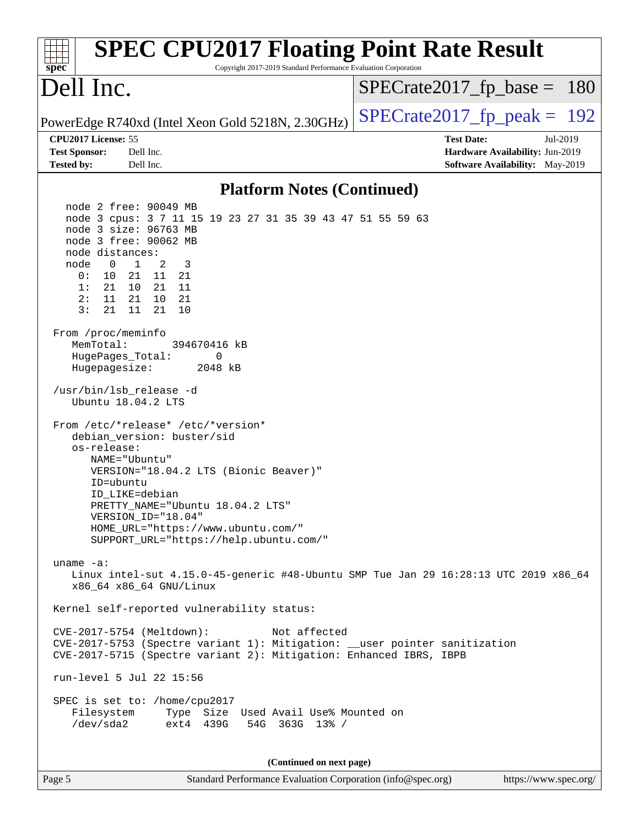| <b>SPEC CPU2017 Floating Point Rate Result</b><br>Copyright 2017-2019 Standard Performance Evaluation Corporation<br>$spec^*$                                                                                                                                                                                                                                           |                                                                                                     |
|-------------------------------------------------------------------------------------------------------------------------------------------------------------------------------------------------------------------------------------------------------------------------------------------------------------------------------------------------------------------------|-----------------------------------------------------------------------------------------------------|
| Dell Inc.                                                                                                                                                                                                                                                                                                                                                               | $SPECrate2017_fp\_base = 180$                                                                       |
| PowerEdge R740xd (Intel Xeon Gold 5218N, 2.30GHz)                                                                                                                                                                                                                                                                                                                       | $SPECrate2017_fp\_peak = 192$                                                                       |
| CPU2017 License: 55<br><b>Test Sponsor:</b><br>Dell Inc.<br><b>Tested by:</b><br>Dell Inc.                                                                                                                                                                                                                                                                              | <b>Test Date:</b><br>Jul-2019<br>Hardware Availability: Jun-2019<br>Software Availability: May-2019 |
| <b>Platform Notes (Continued)</b>                                                                                                                                                                                                                                                                                                                                       |                                                                                                     |
| node 2 free: 90049 MB<br>node 3 cpus: 3 7 11 15 19 23 27 31 35 39 43 47 51 55 59 63<br>node 3 size: 96763 MB<br>node 3 free: 90062 MB<br>node distances:<br>$\mathbf{1}$<br>2<br>node<br>$\overline{0}$<br>3<br>0 :<br>10<br>21 11 21<br>1:<br>21<br>10 21 11<br>11<br>21 10 21<br>2 :<br>3:<br>21<br>21<br>11<br>10<br>From /proc/meminfo<br>MemTotal:<br>394670416 kB |                                                                                                     |
| HugePages_Total:<br>0<br>Hugepagesize:<br>2048 kB                                                                                                                                                                                                                                                                                                                       |                                                                                                     |
| /usr/bin/lsb_release -d<br>Ubuntu 18.04.2 LTS                                                                                                                                                                                                                                                                                                                           |                                                                                                     |
| From /etc/*release* /etc/*version*<br>debian_version: buster/sid<br>os-release:<br>NAME="Ubuntu"<br>VERSION="18.04.2 LTS (Bionic Beaver)"<br>ID=ubuntu<br>ID LIKE=debian<br>PRETTY_NAME="Ubuntu 18.04.2 LTS"<br>VERSION_ID="18.04"<br>HOME_URL="https://www.ubuntu.com/"<br>SUPPORT_URL="https://help.ubuntu.com/"                                                      |                                                                                                     |
| uname $-a$ :<br>Linux intel-sut 4.15.0-45-generic #48-Ubuntu SMP Tue Jan 29 16:28:13 UTC 2019 x86_64<br>x86_64 x86_64 GNU/Linux                                                                                                                                                                                                                                         |                                                                                                     |
| Kernel self-reported vulnerability status:                                                                                                                                                                                                                                                                                                                              |                                                                                                     |
| CVE-2017-5754 (Meltdown):<br>Not affected<br>CVE-2017-5753 (Spectre variant 1): Mitigation: __user pointer sanitization<br>CVE-2017-5715 (Spectre variant 2): Mitigation: Enhanced IBRS, IBPB                                                                                                                                                                           |                                                                                                     |
| run-level 5 Jul 22 15:56<br>SPEC is set to: /home/cpu2017<br>Type Size Used Avail Use% Mounted on<br>Filesystem<br>/dev/sda2<br>ext4 439G<br>54G 363G 13% /                                                                                                                                                                                                             |                                                                                                     |
| (Continued on next page)                                                                                                                                                                                                                                                                                                                                                |                                                                                                     |
| Standard Performance Evaluation Corporation (info@spec.org)<br>Page 5                                                                                                                                                                                                                                                                                                   | https://www.spec.org/                                                                               |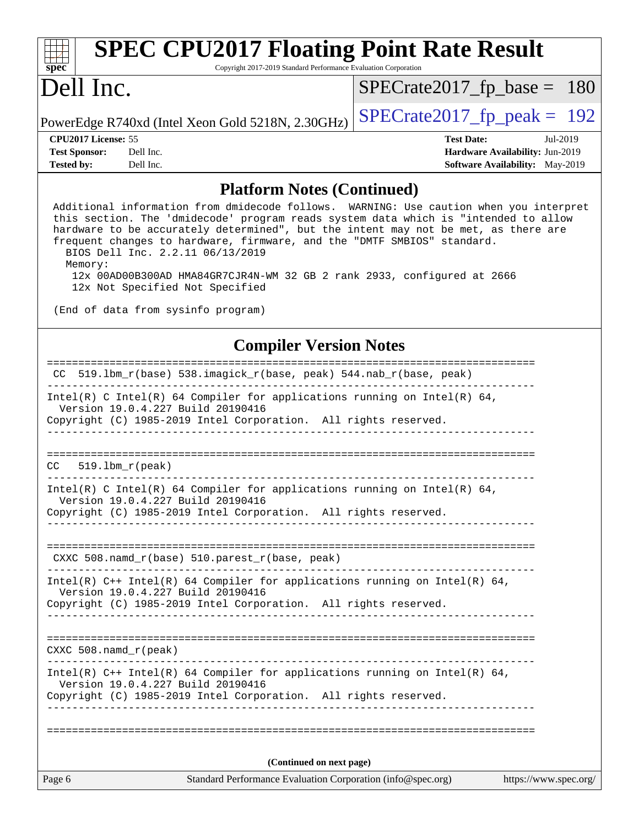| <b>SPEC CPU2017 Floating Point Rate Result</b><br>spec <sup>®</sup><br>Copyright 2017-2019 Standard Performance Evaluation Corporation                                                                                                                                                                                                         |                                                   |                                        |          |  |
|------------------------------------------------------------------------------------------------------------------------------------------------------------------------------------------------------------------------------------------------------------------------------------------------------------------------------------------------|---------------------------------------------------|----------------------------------------|----------|--|
| Dell Inc.                                                                                                                                                                                                                                                                                                                                      |                                                   | $SPECrate2017_fp\_base = 180$          |          |  |
|                                                                                                                                                                                                                                                                                                                                                | PowerEdge R740xd (Intel Xeon Gold 5218N, 2.30GHz) | $SPECrate2017fp peak = 192$            |          |  |
| CPU <sub>2017</sub> License: 55                                                                                                                                                                                                                                                                                                                |                                                   | <b>Test Date:</b>                      | Jul-2019 |  |
| <b>Test Sponsor:</b>                                                                                                                                                                                                                                                                                                                           | Dell Inc.                                         | Hardware Availability: Jun-2019        |          |  |
| <b>Tested by:</b>                                                                                                                                                                                                                                                                                                                              | Dell Inc.                                         | <b>Software Availability:</b> May-2019 |          |  |
| <b>Platform Notes (Continued)</b>                                                                                                                                                                                                                                                                                                              |                                                   |                                        |          |  |
| Additional information from dmidecode follows. WARNING: Use caution when you interpret<br>this section. The 'dmidecode' program reads system data which is "intended to allow<br>hardware to be accurately determined", but the intent may not be met, as there are<br>frequent changes to hardware, firmware, and the "DMTF SMBIOS" standard. |                                                   |                                        |          |  |

 BIOS Dell Inc. 2.2.11 06/13/2019 Memory: 12x 00AD00B300AD HMA84GR7CJR4N-WM 32 GB 2 rank 2933, configured at 2666 12x Not Specified Not Specified

(End of data from sysinfo program)

### **[Compiler Version Notes](http://www.spec.org/auto/cpu2017/Docs/result-fields.html#CompilerVersionNotes)**

| Page 6 | Standard Performance Evaluation Corporation (info@spec.org)                                                                                                                          | https://www.spec.org/ |
|--------|--------------------------------------------------------------------------------------------------------------------------------------------------------------------------------------|-----------------------|
|        | (Continued on next page)                                                                                                                                                             |                       |
|        |                                                                                                                                                                                      |                       |
|        | Version 19.0.4.227 Build 20190416<br>Copyright (C) 1985-2019 Intel Corporation. All rights reserved.                                                                                 |                       |
|        | Intel(R) $C++$ Intel(R) 64 Compiler for applications running on Intel(R) 64,                                                                                                         |                       |
|        | $CXXC 508.namd_r (peak)$                                                                                                                                                             |                       |
|        |                                                                                                                                                                                      |                       |
|        | Intel(R) $C++$ Intel(R) 64 Compiler for applications running on Intel(R) 64,<br>Version 19.0.4.227 Build 20190416<br>Copyright (C) 1985-2019 Intel Corporation. All rights reserved. |                       |
|        |                                                                                                                                                                                      |                       |
|        | CXXC 508.namd $r(base)$ 510.parest $r(base, peak)$                                                                                                                                   |                       |
|        |                                                                                                                                                                                      |                       |
|        | Intel(R) C Intel(R) 64 Compiler for applications running on Intel(R) 64,<br>Version 19.0.4.227 Build 20190416<br>Copyright (C) 1985-2019 Intel Corporation. All rights reserved.     |                       |
| CC.    | $519.1bm_r(peak)$                                                                                                                                                                    |                       |
|        | Copyright (C) 1985-2019 Intel Corporation. All rights reserved.<br>______________________                                                                                            |                       |
|        | Intel(R) C Intel(R) 64 Compiler for applications running on Intel(R) 64,<br>Version 19.0.4.227 Build 20190416                                                                        |                       |
| CC.    | 519.1bm_r(base) 538.imagick_r(base, peak) 544.nab_r(base, peak)                                                                                                                      |                       |
|        |                                                                                                                                                                                      |                       |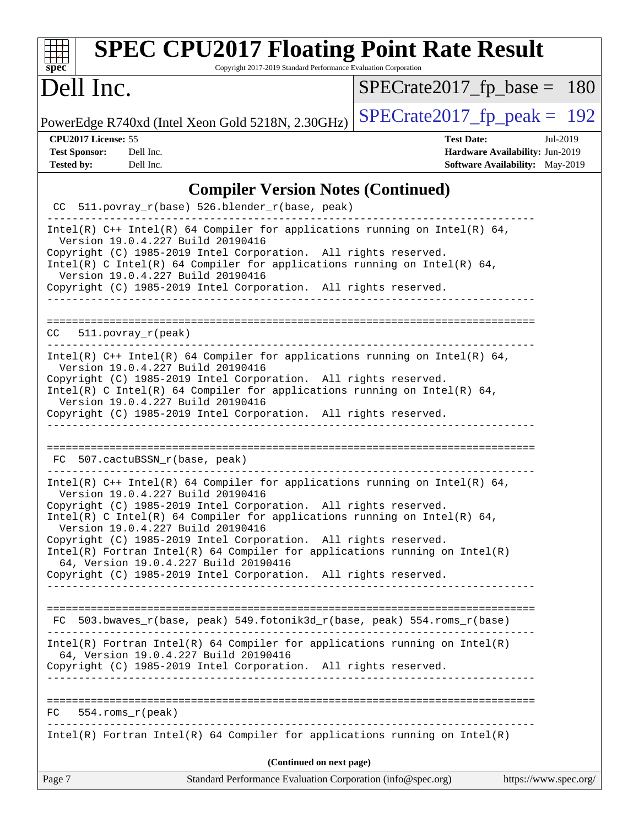| <b>SPEC CPU2017 Floating Point Rate Result</b><br>Copyright 2017-2019 Standard Performance Evaluation Corporation<br>$spec^*$                                                                                                                                                                                                                                                                                                                                                                                                                                        |                                                                                                     |  |  |
|----------------------------------------------------------------------------------------------------------------------------------------------------------------------------------------------------------------------------------------------------------------------------------------------------------------------------------------------------------------------------------------------------------------------------------------------------------------------------------------------------------------------------------------------------------------------|-----------------------------------------------------------------------------------------------------|--|--|
| Dell Inc.                                                                                                                                                                                                                                                                                                                                                                                                                                                                                                                                                            | $SPECrate2017_fp\_base = 180$                                                                       |  |  |
| PowerEdge R740xd (Intel Xeon Gold 5218N, 2.30GHz)                                                                                                                                                                                                                                                                                                                                                                                                                                                                                                                    | $SPECrate2017_fp\_peak = 192$                                                                       |  |  |
| CPU2017 License: 55<br><b>Test Sponsor:</b><br>Dell Inc.<br><b>Tested by:</b><br>Dell Inc.                                                                                                                                                                                                                                                                                                                                                                                                                                                                           | <b>Test Date:</b><br>Jul-2019<br>Hardware Availability: Jun-2019<br>Software Availability: May-2019 |  |  |
| <b>Compiler Version Notes (Continued)</b>                                                                                                                                                                                                                                                                                                                                                                                                                                                                                                                            |                                                                                                     |  |  |
| CC 511.povray_r(base) 526.blender_r(base, peak)                                                                                                                                                                                                                                                                                                                                                                                                                                                                                                                      |                                                                                                     |  |  |
| Intel(R) $C++$ Intel(R) 64 Compiler for applications running on Intel(R) 64,<br>Version 19.0.4.227 Build 20190416<br>Copyright (C) 1985-2019 Intel Corporation. All rights reserved.<br>Intel(R) C Intel(R) 64 Compiler for applications running on Intel(R) 64,<br>Version 19.0.4.227 Build 20190416<br>Copyright (C) 1985-2019 Intel Corporation. All rights reserved.                                                                                                                                                                                             |                                                                                                     |  |  |
| $511. povray_r (peak)$<br>CC.                                                                                                                                                                                                                                                                                                                                                                                                                                                                                                                                        |                                                                                                     |  |  |
| Intel(R) $C++$ Intel(R) 64 Compiler for applications running on Intel(R) 64,<br>Version 19.0.4.227 Build 20190416<br>Copyright (C) 1985-2019 Intel Corporation. All rights reserved.<br>Intel(R) C Intel(R) 64 Compiler for applications running on Intel(R) 64,<br>Version 19.0.4.227 Build 20190416<br>Copyright (C) 1985-2019 Intel Corporation. All rights reserved.<br>___________________________                                                                                                                                                              |                                                                                                     |  |  |
| 507.cactuBSSN_r(base, peak)<br>FC.                                                                                                                                                                                                                                                                                                                                                                                                                                                                                                                                   |                                                                                                     |  |  |
| Intel(R) $C++$ Intel(R) 64 Compiler for applications running on Intel(R) 64,<br>Version 19.0.4.227 Build 20190416<br>Copyright (C) 1985-2019 Intel Corporation. All rights reserved.<br>Intel(R) C Intel(R) 64 Compiler for applications running on Intel(R) 64,<br>Version 19.0.4.227 Build 20190416<br>Copyright (C) 1985-2019 Intel Corporation. All rights reserved.<br>$Intel(R)$ Fortran Intel(R) 64 Compiler for applications running on Intel(R)<br>64, Version 19.0.4.227 Build 20190416<br>Copyright (C) 1985-2019 Intel Corporation. All rights reserved. |                                                                                                     |  |  |
| FC 503.bwaves_r(base, peak) 549.fotonik3d_r(base, peak) 554.roms_r(base)                                                                                                                                                                                                                                                                                                                                                                                                                                                                                             |                                                                                                     |  |  |
| $Intel(R)$ Fortran Intel(R) 64 Compiler for applications running on Intel(R)<br>64, Version 19.0.4.227 Build 20190416<br>Copyright (C) 1985-2019 Intel Corporation. All rights reserved.                                                                                                                                                                                                                                                                                                                                                                             |                                                                                                     |  |  |
| $FC$ 554.roms $r$ (peak)                                                                                                                                                                                                                                                                                                                                                                                                                                                                                                                                             |                                                                                                     |  |  |
| Intel(R) Fortran Intel(R) 64 Compiler for applications running on Intel(R)                                                                                                                                                                                                                                                                                                                                                                                                                                                                                           |                                                                                                     |  |  |
| (Continued on next page)                                                                                                                                                                                                                                                                                                                                                                                                                                                                                                                                             |                                                                                                     |  |  |
| Standard Performance Evaluation Corporation (info@spec.org)<br>Page 7                                                                                                                                                                                                                                                                                                                                                                                                                                                                                                | https://www.spec.org/                                                                               |  |  |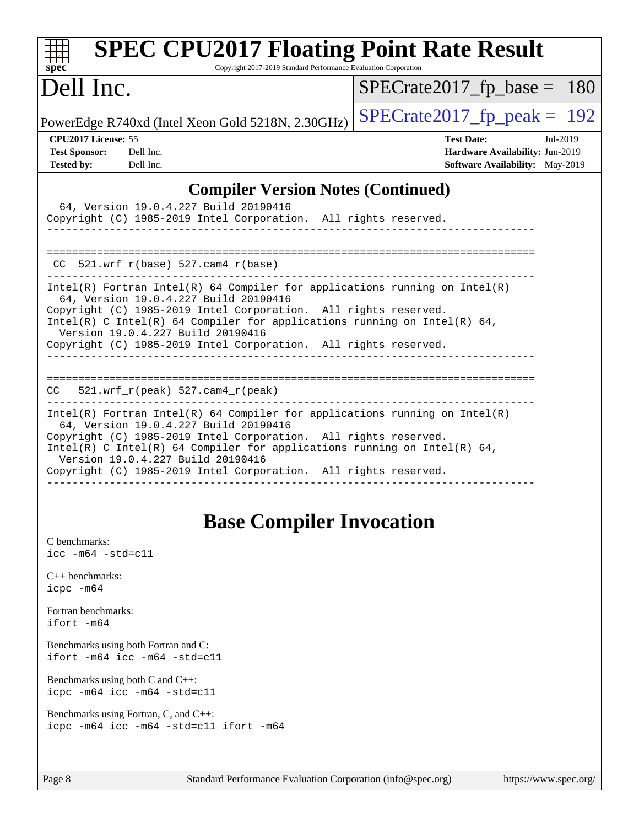| <b>SPEC CPU2017 Floating Point Rate Result</b><br>Copyright 2017-2019 Standard Performance Evaluation Corporation<br>$spec^*$                                                                                                                                                                                                                                                                   |                                                                                                            |  |  |  |
|-------------------------------------------------------------------------------------------------------------------------------------------------------------------------------------------------------------------------------------------------------------------------------------------------------------------------------------------------------------------------------------------------|------------------------------------------------------------------------------------------------------------|--|--|--|
| Dell Inc.                                                                                                                                                                                                                                                                                                                                                                                       | $SPECrate2017_fp\_base = 180$                                                                              |  |  |  |
| PowerEdge R740xd (Intel Xeon Gold 5218N, 2.30GHz)                                                                                                                                                                                                                                                                                                                                               | $SPECrate2017fp peak = 192$                                                                                |  |  |  |
| CPU <sub>2017</sub> License: 55<br><b>Test Sponsor:</b><br>Dell Inc.<br><b>Tested by:</b><br>Dell Inc.                                                                                                                                                                                                                                                                                          | <b>Test Date:</b><br>Jul-2019<br>Hardware Availability: Jun-2019<br><b>Software Availability:</b> May-2019 |  |  |  |
| <b>Compiler Version Notes (Continued)</b><br>64, Version 19.0.4.227 Build 20190416<br>Copyright (C) 1985-2019 Intel Corporation. All rights reserved.                                                                                                                                                                                                                                           |                                                                                                            |  |  |  |
| $CC$ 521.wrf_r(base) 527.cam4_r(base)                                                                                                                                                                                                                                                                                                                                                           |                                                                                                            |  |  |  |
| $Intel(R)$ Fortran Intel(R) 64 Compiler for applications running on Intel(R)<br>64, Version 19.0.4.227 Build 20190416<br>Copyright (C) 1985-2019 Intel Corporation. All rights reserved.<br>Intel(R) C Intel(R) 64 Compiler for applications running on Intel(R) 64,<br>Version 19.0.4.227 Build 20190416<br>Copyright (C) 1985-2019 Intel Corporation. All rights reserved.<br>_______________ |                                                                                                            |  |  |  |
| $CC = 521.wrf_r(peak) 527.cam4_r(peak)$                                                                                                                                                                                                                                                                                                                                                         |                                                                                                            |  |  |  |
| $Intel(R)$ Fortran Intel(R) 64 Compiler for applications running on Intel(R)<br>64, Version 19.0.4.227 Build 20190416<br>Copyright (C) 1985-2019 Intel Corporation. All rights reserved.<br>Intel(R) C Intel(R) 64 Compiler for applications running on Intel(R) 64,<br>Version 19.0.4.227 Build 20190416<br>Copyright (C) 1985-2019 Intel Corporation. All rights reserved.                    |                                                                                                            |  |  |  |

## **[Base Compiler Invocation](http://www.spec.org/auto/cpu2017/Docs/result-fields.html#BaseCompilerInvocation)**

| C benchmarks:<br>$\text{icc}$ -m64 -std=c11                              |
|--------------------------------------------------------------------------|
| $C_{++}$ benchmarks:<br>$icpc$ $-m64$                                    |
| Fortran benchmarks:<br>ifort -m64                                        |
| Benchmarks using both Fortran and C:<br>$ifort$ -m64 $ice$ -m64 -std=c11 |
| Benchmarks using both $C$ and $C_{++}$ :<br>icpc -m64 icc -m64 -std=c11  |
| Benchmarks using Fortran, C, and $C_{++}$ :                              |

[icpc -m64](http://www.spec.org/cpu2017/results/res2019q3/cpu2017-20190805-16530.flags.html#user_CC_CXX_FCbase_intel_icpc_64bit_4ecb2543ae3f1412ef961e0650ca070fec7b7afdcd6ed48761b84423119d1bf6bdf5cad15b44d48e7256388bc77273b966e5eb805aefd121eb22e9299b2ec9d9) [icc -m64 -std=c11](http://www.spec.org/cpu2017/results/res2019q3/cpu2017-20190805-16530.flags.html#user_CC_CXX_FCbase_intel_icc_64bit_c11_33ee0cdaae7deeeab2a9725423ba97205ce30f63b9926c2519791662299b76a0318f32ddfffdc46587804de3178b4f9328c46fa7c2b0cd779d7a61945c91cd35) [ifort -m64](http://www.spec.org/cpu2017/results/res2019q3/cpu2017-20190805-16530.flags.html#user_CC_CXX_FCbase_intel_ifort_64bit_24f2bb282fbaeffd6157abe4f878425411749daecae9a33200eee2bee2fe76f3b89351d69a8130dd5949958ce389cf37ff59a95e7a40d588e8d3a57e0c3fd751)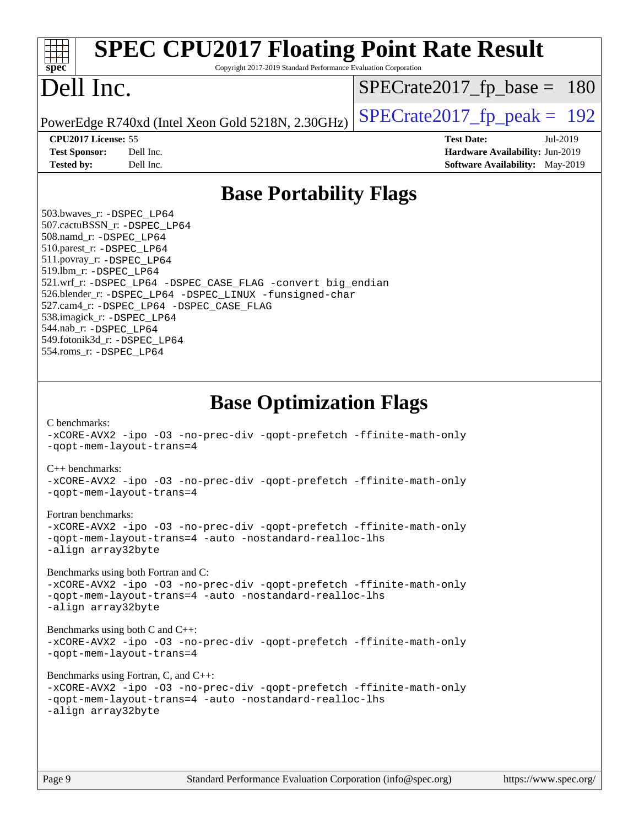| $spec^*$                                                                                                                                                                                                                                                                                     | <b>SPEC CPU2017 Floating Point Rate Result</b><br>Copyright 2017-2019 Standard Performance Evaluation Corporation                                                  |                                                                                                            |  |
|----------------------------------------------------------------------------------------------------------------------------------------------------------------------------------------------------------------------------------------------------------------------------------------------|--------------------------------------------------------------------------------------------------------------------------------------------------------------------|------------------------------------------------------------------------------------------------------------|--|
| Dell Inc.                                                                                                                                                                                                                                                                                    |                                                                                                                                                                    | $SPECrate2017_fp\_base = 180$                                                                              |  |
|                                                                                                                                                                                                                                                                                              | PowerEdge R740xd (Intel Xeon Gold 5218N, 2.30GHz)                                                                                                                  | $SPECTate2017$ _fp_peak = 192                                                                              |  |
| CPU2017 License: 55<br><b>Test Sponsor:</b><br><b>Tested by:</b>                                                                                                                                                                                                                             | Dell Inc.<br>Dell Inc.                                                                                                                                             | <b>Test Date:</b><br>Jul-2019<br>Hardware Availability: Jun-2019<br><b>Software Availability:</b> May-2019 |  |
|                                                                                                                                                                                                                                                                                              | <b>Base Portability Flags</b>                                                                                                                                      |                                                                                                            |  |
| 503.bwaves_r: -DSPEC_LP64<br>507.cactuBSSN_r: -DSPEC LP64<br>508.namd_r: -DSPEC LP64<br>510.parest_r: -DSPEC_LP64<br>511.povray_r: -DSPEC_LP64<br>519.1bm_r: - DSPEC LP64<br>538.imagick_r: -DSPEC_LP64<br>544.nab r: -DSPEC LP64<br>549.fotonik3d_r: -DSPEC_LP64<br>554.roms_r: -DSPEC_LP64 | 521.wrf_r: -DSPEC_LP64 -DSPEC_CASE_FLAG -convert big_endian<br>526.blender_r: -DSPEC_LP64 -DSPEC_LINUX -funsigned-char<br>527.cam4_r: -DSPEC_LP64 -DSPEC_CASE_FLAG |                                                                                                            |  |
| C benchmarks:                                                                                                                                                                                                                                                                                | <b>Base Optimization Flags</b><br>-xCORE-AVX2 -ipo -03 -no-prec-div -qopt-prefetch -ffinite-math-only<br>-gopt-mem-layout-trans=4                                  |                                                                                                            |  |
| $C_{++}$ benchmarks:                                                                                                                                                                                                                                                                         | -xCORE-AVX2 -ipo -03 -no-prec-div -qopt-prefetch -ffinite-math-only<br>-qopt-mem-layout-trans=4                                                                    |                                                                                                            |  |
| Fortran benchmarks:<br>-xCORE-AVX2 -ipo -03 -no-prec-div -qopt-prefetch -ffinite-math-only<br>-qopt-mem-layout-trans=4 -auto -nostandard-realloc-lhs<br>-align array32byte                                                                                                                   |                                                                                                                                                                    |                                                                                                            |  |
| Benchmarks using both Fortran and C:<br>-xCORE-AVX2 -ipo -03 -no-prec-div -qopt-prefetch -ffinite-math-only<br>-gopt-mem-layout-trans=4 -auto -nostandard-realloc-lhs<br>-align array32byte                                                                                                  |                                                                                                                                                                    |                                                                                                            |  |
| Benchmarks using both $C$ and $C++$ :<br>-xCORE-AVX2 -ipo -03 -no-prec-div -qopt-prefetch -ffinite-math-only<br>-gopt-mem-layout-trans=4                                                                                                                                                     |                                                                                                                                                                    |                                                                                                            |  |
| Benchmarks using Fortran, C, and C++:<br>-xCORE-AVX2 -ipo -03 -no-prec-div -qopt-prefetch -ffinite-math-only<br>-qopt-mem-layout-trans=4 -auto -nostandard-realloc-lhs<br>-align array32byte                                                                                                 |                                                                                                                                                                    |                                                                                                            |  |
| $P_{909}$ Q                                                                                                                                                                                                                                                                                  | Standard Performance Evaluation Corporation $(info@spec.org)$                                                                                                      | http://www.                                                                                                |  |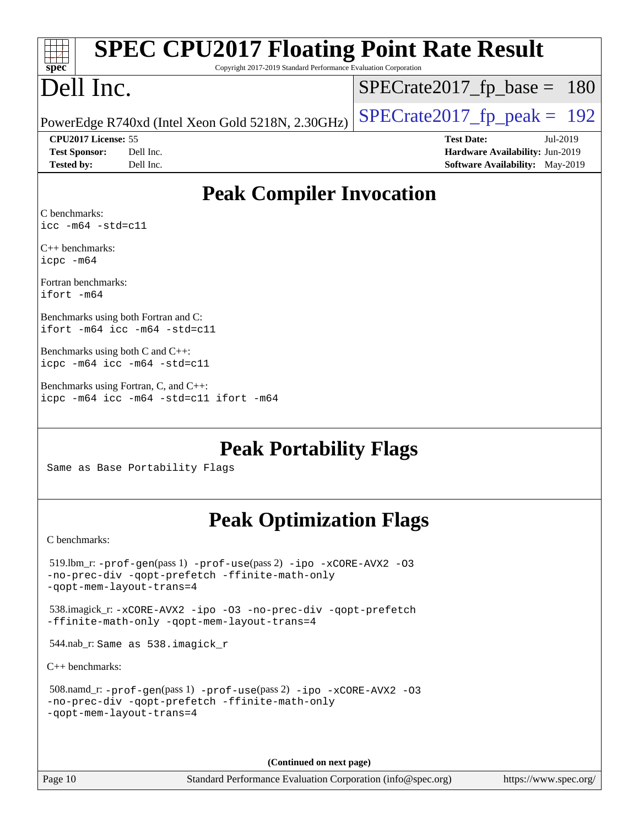| <b>SPEC CPU2017 Floating Point Rate Result</b>                                                                                                       |                                        |  |  |  |  |
|------------------------------------------------------------------------------------------------------------------------------------------------------|----------------------------------------|--|--|--|--|
| Copyright 2017-2019 Standard Performance Evaluation Corporation<br>$spec^*$                                                                          |                                        |  |  |  |  |
| Dell Inc.                                                                                                                                            | $SPECrate2017_fp\_base = 180$          |  |  |  |  |
| PowerEdge R740xd (Intel Xeon Gold 5218N, 2.30GHz)                                                                                                    | $SPECrate2017_fp\_peak = 192$          |  |  |  |  |
| CPU2017 License: 55                                                                                                                                  | <b>Test Date:</b><br>Jul-2019          |  |  |  |  |
| <b>Test Sponsor:</b><br>Dell Inc.                                                                                                                    | Hardware Availability: Jun-2019        |  |  |  |  |
| Dell Inc.<br><b>Tested by:</b>                                                                                                                       | <b>Software Availability:</b> May-2019 |  |  |  |  |
| <b>Peak Compiler Invocation</b>                                                                                                                      |                                        |  |  |  |  |
| C benchmarks:                                                                                                                                        |                                        |  |  |  |  |
| $\text{icc}$ -m64 -std=c11                                                                                                                           |                                        |  |  |  |  |
| $C_{++}$ benchmarks:<br>icpc -m64                                                                                                                    |                                        |  |  |  |  |
| Fortran benchmarks:<br>ifort -m64                                                                                                                    |                                        |  |  |  |  |
| Benchmarks using both Fortran and C:<br>$ifort -m64$ $ice -m64 -std=c11$                                                                             |                                        |  |  |  |  |
| Benchmarks using both C and C++:<br>icpc -m64 icc -m64 -std=c11                                                                                      |                                        |  |  |  |  |
| Benchmarks using Fortran, C, and C++:<br>icpc -m64 icc -m64 -std=c11 ifort -m64                                                                      |                                        |  |  |  |  |
| <b>Peak Portability Flags</b><br>Same as Base Portability Flags                                                                                      |                                        |  |  |  |  |
| <b>Peak Optimization Flags</b>                                                                                                                       |                                        |  |  |  |  |
| C benchmarks:                                                                                                                                        |                                        |  |  |  |  |
| $519$ .lbm_r: -prof-gen(pass 1) -prof-use(pass 2) -ipo -xCORE-AVX2 -03<br>-no-prec-div -qopt-prefetch -ffinite-math-only<br>-gopt-mem-layout-trans=4 |                                        |  |  |  |  |
| 538.imagick_r: -xCORE-AVX2 -ipo -03 -no-prec-div -qopt-prefetch<br>-ffinite-math-only -qopt-mem-layout-trans=4                                       |                                        |  |  |  |  |
| 544.nab_r: Same as 538.imagick_r                                                                                                                     |                                        |  |  |  |  |
| $C++$ benchmarks:                                                                                                                                    |                                        |  |  |  |  |
| 508.namd_r: -prof-gen(pass 1) -prof-use(pass 2) -ipo -xCORE-AVX2 -03<br>-no-prec-div -qopt-prefetch -ffinite-math-only<br>-qopt-mem-layout-trans=4   |                                        |  |  |  |  |
|                                                                                                                                                      |                                        |  |  |  |  |

**(Continued on next page)**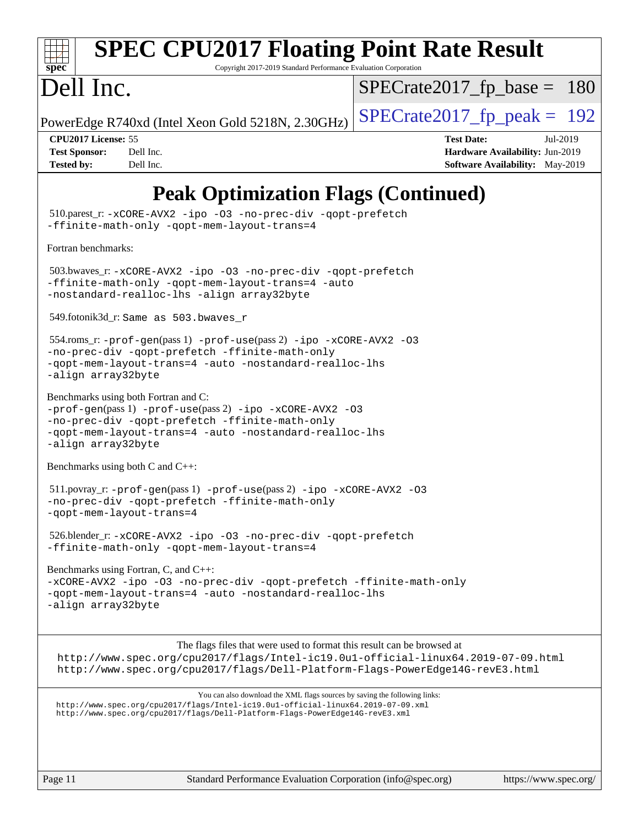

# **[SPEC CPU2017 Floating Point Rate Result](http://www.spec.org/auto/cpu2017/Docs/result-fields.html#SPECCPU2017FloatingPointRateResult)**

Copyright 2017-2019 Standard Performance Evaluation Corporation

## Dell Inc.

[SPECrate2017\\_fp\\_base =](http://www.spec.org/auto/cpu2017/Docs/result-fields.html#SPECrate2017fpbase) 180

PowerEdge R740xd (Intel Xeon Gold 5218N, 2.30GHz)  $\left|$  [SPECrate2017\\_fp\\_peak =](http://www.spec.org/auto/cpu2017/Docs/result-fields.html#SPECrate2017fppeak) 192

**[CPU2017 License:](http://www.spec.org/auto/cpu2017/Docs/result-fields.html#CPU2017License)** 55 **[Test Date:](http://www.spec.org/auto/cpu2017/Docs/result-fields.html#TestDate)** Jul-2019 **[Test Sponsor:](http://www.spec.org/auto/cpu2017/Docs/result-fields.html#TestSponsor)** Dell Inc. **[Hardware Availability:](http://www.spec.org/auto/cpu2017/Docs/result-fields.html#HardwareAvailability)** Jun-2019 **[Tested by:](http://www.spec.org/auto/cpu2017/Docs/result-fields.html#Testedby)** Dell Inc. Dell Inc. **[Software Availability:](http://www.spec.org/auto/cpu2017/Docs/result-fields.html#SoftwareAvailability)** May-2019

## **[Peak Optimization Flags \(Continued\)](http://www.spec.org/auto/cpu2017/Docs/result-fields.html#PeakOptimizationFlags)**

 510.parest\_r: [-xCORE-AVX2](http://www.spec.org/cpu2017/results/res2019q3/cpu2017-20190805-16530.flags.html#user_peakCXXOPTIMIZE510_parest_r_f-xCORE-AVX2) [-ipo](http://www.spec.org/cpu2017/results/res2019q3/cpu2017-20190805-16530.flags.html#user_peakCXXOPTIMIZE510_parest_r_f-ipo) [-O3](http://www.spec.org/cpu2017/results/res2019q3/cpu2017-20190805-16530.flags.html#user_peakCXXOPTIMIZE510_parest_r_f-O3) [-no-prec-div](http://www.spec.org/cpu2017/results/res2019q3/cpu2017-20190805-16530.flags.html#user_peakCXXOPTIMIZE510_parest_r_f-no-prec-div) [-qopt-prefetch](http://www.spec.org/cpu2017/results/res2019q3/cpu2017-20190805-16530.flags.html#user_peakCXXOPTIMIZE510_parest_r_f-qopt-prefetch) [-ffinite-math-only](http://www.spec.org/cpu2017/results/res2019q3/cpu2017-20190805-16530.flags.html#user_peakCXXOPTIMIZE510_parest_r_f_finite_math_only_cb91587bd2077682c4b38af759c288ed7c732db004271a9512da14a4f8007909a5f1427ecbf1a0fb78ff2a814402c6114ac565ca162485bbcae155b5e4258871) [-qopt-mem-layout-trans=4](http://www.spec.org/cpu2017/results/res2019q3/cpu2017-20190805-16530.flags.html#user_peakCXXOPTIMIZE510_parest_r_f-qopt-mem-layout-trans_fa39e755916c150a61361b7846f310bcdf6f04e385ef281cadf3647acec3f0ae266d1a1d22d972a7087a248fd4e6ca390a3634700869573d231a252c784941a8) [Fortran benchmarks](http://www.spec.org/auto/cpu2017/Docs/result-fields.html#Fortranbenchmarks): 503.bwaves\_r: [-xCORE-AVX2](http://www.spec.org/cpu2017/results/res2019q3/cpu2017-20190805-16530.flags.html#user_peakFOPTIMIZE503_bwaves_r_f-xCORE-AVX2) [-ipo](http://www.spec.org/cpu2017/results/res2019q3/cpu2017-20190805-16530.flags.html#user_peakFOPTIMIZE503_bwaves_r_f-ipo) [-O3](http://www.spec.org/cpu2017/results/res2019q3/cpu2017-20190805-16530.flags.html#user_peakFOPTIMIZE503_bwaves_r_f-O3) [-no-prec-div](http://www.spec.org/cpu2017/results/res2019q3/cpu2017-20190805-16530.flags.html#user_peakFOPTIMIZE503_bwaves_r_f-no-prec-div) [-qopt-prefetch](http://www.spec.org/cpu2017/results/res2019q3/cpu2017-20190805-16530.flags.html#user_peakFOPTIMIZE503_bwaves_r_f-qopt-prefetch) [-ffinite-math-only](http://www.spec.org/cpu2017/results/res2019q3/cpu2017-20190805-16530.flags.html#user_peakFOPTIMIZE503_bwaves_r_f_finite_math_only_cb91587bd2077682c4b38af759c288ed7c732db004271a9512da14a4f8007909a5f1427ecbf1a0fb78ff2a814402c6114ac565ca162485bbcae155b5e4258871) [-qopt-mem-layout-trans=4](http://www.spec.org/cpu2017/results/res2019q3/cpu2017-20190805-16530.flags.html#user_peakFOPTIMIZE503_bwaves_r_f-qopt-mem-layout-trans_fa39e755916c150a61361b7846f310bcdf6f04e385ef281cadf3647acec3f0ae266d1a1d22d972a7087a248fd4e6ca390a3634700869573d231a252c784941a8) [-auto](http://www.spec.org/cpu2017/results/res2019q3/cpu2017-20190805-16530.flags.html#user_peakFOPTIMIZE503_bwaves_r_f-auto) [-nostandard-realloc-lhs](http://www.spec.org/cpu2017/results/res2019q3/cpu2017-20190805-16530.flags.html#user_peakEXTRA_FOPTIMIZE503_bwaves_r_f_2003_std_realloc_82b4557e90729c0f113870c07e44d33d6f5a304b4f63d4c15d2d0f1fab99f5daaed73bdb9275d9ae411527f28b936061aa8b9c8f2d63842963b95c9dd6426b8a) [-align array32byte](http://www.spec.org/cpu2017/results/res2019q3/cpu2017-20190805-16530.flags.html#user_peakEXTRA_FOPTIMIZE503_bwaves_r_align_array32byte_b982fe038af199962ba9a80c053b8342c548c85b40b8e86eb3cc33dee0d7986a4af373ac2d51c3f7cf710a18d62fdce2948f201cd044323541f22fc0fffc51b6) 549.fotonik3d\_r: Same as 503.bwaves\_r 554.roms\_r: [-prof-gen](http://www.spec.org/cpu2017/results/res2019q3/cpu2017-20190805-16530.flags.html#user_peakPASS1_FFLAGSPASS1_LDFLAGS554_roms_r_prof_gen_5aa4926d6013ddb2a31985c654b3eb18169fc0c6952a63635c234f711e6e63dd76e94ad52365559451ec499a2cdb89e4dc58ba4c67ef54ca681ffbe1461d6b36)(pass 1) [-prof-use](http://www.spec.org/cpu2017/results/res2019q3/cpu2017-20190805-16530.flags.html#user_peakPASS2_FFLAGSPASS2_LDFLAGS554_roms_r_prof_use_1a21ceae95f36a2b53c25747139a6c16ca95bd9def2a207b4f0849963b97e94f5260e30a0c64f4bb623698870e679ca08317ef8150905d41bd88c6f78df73f19)(pass 2) [-ipo](http://www.spec.org/cpu2017/results/res2019q3/cpu2017-20190805-16530.flags.html#user_peakPASS1_FOPTIMIZEPASS2_FOPTIMIZE554_roms_r_f-ipo) [-xCORE-AVX2](http://www.spec.org/cpu2017/results/res2019q3/cpu2017-20190805-16530.flags.html#user_peakPASS2_FOPTIMIZE554_roms_r_f-xCORE-AVX2) [-O3](http://www.spec.org/cpu2017/results/res2019q3/cpu2017-20190805-16530.flags.html#user_peakPASS1_FOPTIMIZEPASS2_FOPTIMIZE554_roms_r_f-O3) [-no-prec-div](http://www.spec.org/cpu2017/results/res2019q3/cpu2017-20190805-16530.flags.html#user_peakPASS1_FOPTIMIZEPASS2_FOPTIMIZE554_roms_r_f-no-prec-div) [-qopt-prefetch](http://www.spec.org/cpu2017/results/res2019q3/cpu2017-20190805-16530.flags.html#user_peakPASS1_FOPTIMIZEPASS2_FOPTIMIZE554_roms_r_f-qopt-prefetch) [-ffinite-math-only](http://www.spec.org/cpu2017/results/res2019q3/cpu2017-20190805-16530.flags.html#user_peakPASS1_FOPTIMIZEPASS2_FOPTIMIZE554_roms_r_f_finite_math_only_cb91587bd2077682c4b38af759c288ed7c732db004271a9512da14a4f8007909a5f1427ecbf1a0fb78ff2a814402c6114ac565ca162485bbcae155b5e4258871) [-qopt-mem-layout-trans=4](http://www.spec.org/cpu2017/results/res2019q3/cpu2017-20190805-16530.flags.html#user_peakPASS1_FOPTIMIZEPASS2_FOPTIMIZE554_roms_r_f-qopt-mem-layout-trans_fa39e755916c150a61361b7846f310bcdf6f04e385ef281cadf3647acec3f0ae266d1a1d22d972a7087a248fd4e6ca390a3634700869573d231a252c784941a8) [-auto](http://www.spec.org/cpu2017/results/res2019q3/cpu2017-20190805-16530.flags.html#user_peakPASS2_FOPTIMIZE554_roms_r_f-auto) [-nostandard-realloc-lhs](http://www.spec.org/cpu2017/results/res2019q3/cpu2017-20190805-16530.flags.html#user_peakEXTRA_FOPTIMIZE554_roms_r_f_2003_std_realloc_82b4557e90729c0f113870c07e44d33d6f5a304b4f63d4c15d2d0f1fab99f5daaed73bdb9275d9ae411527f28b936061aa8b9c8f2d63842963b95c9dd6426b8a) [-align array32byte](http://www.spec.org/cpu2017/results/res2019q3/cpu2017-20190805-16530.flags.html#user_peakEXTRA_FOPTIMIZE554_roms_r_align_array32byte_b982fe038af199962ba9a80c053b8342c548c85b40b8e86eb3cc33dee0d7986a4af373ac2d51c3f7cf710a18d62fdce2948f201cd044323541f22fc0fffc51b6) [Benchmarks using both Fortran and C](http://www.spec.org/auto/cpu2017/Docs/result-fields.html#BenchmarksusingbothFortranandC): [-prof-gen](http://www.spec.org/cpu2017/results/res2019q3/cpu2017-20190805-16530.flags.html#user_CC_FCpeak_prof_gen_5aa4926d6013ddb2a31985c654b3eb18169fc0c6952a63635c234f711e6e63dd76e94ad52365559451ec499a2cdb89e4dc58ba4c67ef54ca681ffbe1461d6b36)(pass 1) [-prof-use](http://www.spec.org/cpu2017/results/res2019q3/cpu2017-20190805-16530.flags.html#user_CC_FCpeak_prof_use_1a21ceae95f36a2b53c25747139a6c16ca95bd9def2a207b4f0849963b97e94f5260e30a0c64f4bb623698870e679ca08317ef8150905d41bd88c6f78df73f19)(pass 2) [-ipo](http://www.spec.org/cpu2017/results/res2019q3/cpu2017-20190805-16530.flags.html#user_CC_FCpeak_f-ipo) [-xCORE-AVX2](http://www.spec.org/cpu2017/results/res2019q3/cpu2017-20190805-16530.flags.html#user_CC_FCpeak_f-xCORE-AVX2) [-O3](http://www.spec.org/cpu2017/results/res2019q3/cpu2017-20190805-16530.flags.html#user_CC_FCpeak_f-O3) [-no-prec-div](http://www.spec.org/cpu2017/results/res2019q3/cpu2017-20190805-16530.flags.html#user_CC_FCpeak_f-no-prec-div) [-qopt-prefetch](http://www.spec.org/cpu2017/results/res2019q3/cpu2017-20190805-16530.flags.html#user_CC_FCpeak_f-qopt-prefetch) [-ffinite-math-only](http://www.spec.org/cpu2017/results/res2019q3/cpu2017-20190805-16530.flags.html#user_CC_FCpeak_f_finite_math_only_cb91587bd2077682c4b38af759c288ed7c732db004271a9512da14a4f8007909a5f1427ecbf1a0fb78ff2a814402c6114ac565ca162485bbcae155b5e4258871) [-qopt-mem-layout-trans=4](http://www.spec.org/cpu2017/results/res2019q3/cpu2017-20190805-16530.flags.html#user_CC_FCpeak_f-qopt-mem-layout-trans_fa39e755916c150a61361b7846f310bcdf6f04e385ef281cadf3647acec3f0ae266d1a1d22d972a7087a248fd4e6ca390a3634700869573d231a252c784941a8) [-auto](http://www.spec.org/cpu2017/results/res2019q3/cpu2017-20190805-16530.flags.html#user_CC_FCpeak_f-auto) [-nostandard-realloc-lhs](http://www.spec.org/cpu2017/results/res2019q3/cpu2017-20190805-16530.flags.html#user_CC_FCpeak_f_2003_std_realloc_82b4557e90729c0f113870c07e44d33d6f5a304b4f63d4c15d2d0f1fab99f5daaed73bdb9275d9ae411527f28b936061aa8b9c8f2d63842963b95c9dd6426b8a) [-align array32byte](http://www.spec.org/cpu2017/results/res2019q3/cpu2017-20190805-16530.flags.html#user_CC_FCpeak_align_array32byte_b982fe038af199962ba9a80c053b8342c548c85b40b8e86eb3cc33dee0d7986a4af373ac2d51c3f7cf710a18d62fdce2948f201cd044323541f22fc0fffc51b6) [Benchmarks using both C and C++](http://www.spec.org/auto/cpu2017/Docs/result-fields.html#BenchmarksusingbothCandCXX): 511.povray\_r: [-prof-gen](http://www.spec.org/cpu2017/results/res2019q3/cpu2017-20190805-16530.flags.html#user_peakPASS1_CFLAGSPASS1_CXXFLAGSPASS1_LDFLAGS511_povray_r_prof_gen_5aa4926d6013ddb2a31985c654b3eb18169fc0c6952a63635c234f711e6e63dd76e94ad52365559451ec499a2cdb89e4dc58ba4c67ef54ca681ffbe1461d6b36)(pass 1) [-prof-use](http://www.spec.org/cpu2017/results/res2019q3/cpu2017-20190805-16530.flags.html#user_peakPASS2_CFLAGSPASS2_CXXFLAGSPASS2_LDFLAGS511_povray_r_prof_use_1a21ceae95f36a2b53c25747139a6c16ca95bd9def2a207b4f0849963b97e94f5260e30a0c64f4bb623698870e679ca08317ef8150905d41bd88c6f78df73f19)(pass 2) [-ipo](http://www.spec.org/cpu2017/results/res2019q3/cpu2017-20190805-16530.flags.html#user_peakPASS1_COPTIMIZEPASS1_CXXOPTIMIZEPASS2_COPTIMIZEPASS2_CXXOPTIMIZE511_povray_r_f-ipo) [-xCORE-AVX2](http://www.spec.org/cpu2017/results/res2019q3/cpu2017-20190805-16530.flags.html#user_peakPASS2_COPTIMIZEPASS2_CXXOPTIMIZE511_povray_r_f-xCORE-AVX2) [-O3](http://www.spec.org/cpu2017/results/res2019q3/cpu2017-20190805-16530.flags.html#user_peakPASS1_COPTIMIZEPASS1_CXXOPTIMIZEPASS2_COPTIMIZEPASS2_CXXOPTIMIZE511_povray_r_f-O3) [-no-prec-div](http://www.spec.org/cpu2017/results/res2019q3/cpu2017-20190805-16530.flags.html#user_peakPASS1_COPTIMIZEPASS1_CXXOPTIMIZEPASS2_COPTIMIZEPASS2_CXXOPTIMIZE511_povray_r_f-no-prec-div) [-qopt-prefetch](http://www.spec.org/cpu2017/results/res2019q3/cpu2017-20190805-16530.flags.html#user_peakPASS1_COPTIMIZEPASS1_CXXOPTIMIZEPASS2_COPTIMIZEPASS2_CXXOPTIMIZE511_povray_r_f-qopt-prefetch) [-ffinite-math-only](http://www.spec.org/cpu2017/results/res2019q3/cpu2017-20190805-16530.flags.html#user_peakPASS1_COPTIMIZEPASS1_CXXOPTIMIZEPASS2_COPTIMIZEPASS2_CXXOPTIMIZE511_povray_r_f_finite_math_only_cb91587bd2077682c4b38af759c288ed7c732db004271a9512da14a4f8007909a5f1427ecbf1a0fb78ff2a814402c6114ac565ca162485bbcae155b5e4258871) [-qopt-mem-layout-trans=4](http://www.spec.org/cpu2017/results/res2019q3/cpu2017-20190805-16530.flags.html#user_peakPASS1_COPTIMIZEPASS1_CXXOPTIMIZEPASS2_COPTIMIZEPASS2_CXXOPTIMIZE511_povray_r_f-qopt-mem-layout-trans_fa39e755916c150a61361b7846f310bcdf6f04e385ef281cadf3647acec3f0ae266d1a1d22d972a7087a248fd4e6ca390a3634700869573d231a252c784941a8) 526.blender\_r: [-xCORE-AVX2](http://www.spec.org/cpu2017/results/res2019q3/cpu2017-20190805-16530.flags.html#user_peakCOPTIMIZECXXOPTIMIZE526_blender_r_f-xCORE-AVX2) [-ipo](http://www.spec.org/cpu2017/results/res2019q3/cpu2017-20190805-16530.flags.html#user_peakCOPTIMIZECXXOPTIMIZE526_blender_r_f-ipo) [-O3](http://www.spec.org/cpu2017/results/res2019q3/cpu2017-20190805-16530.flags.html#user_peakCOPTIMIZECXXOPTIMIZE526_blender_r_f-O3) [-no-prec-div](http://www.spec.org/cpu2017/results/res2019q3/cpu2017-20190805-16530.flags.html#user_peakCOPTIMIZECXXOPTIMIZE526_blender_r_f-no-prec-div) [-qopt-prefetch](http://www.spec.org/cpu2017/results/res2019q3/cpu2017-20190805-16530.flags.html#user_peakCOPTIMIZECXXOPTIMIZE526_blender_r_f-qopt-prefetch) [-ffinite-math-only](http://www.spec.org/cpu2017/results/res2019q3/cpu2017-20190805-16530.flags.html#user_peakCOPTIMIZECXXOPTIMIZE526_blender_r_f_finite_math_only_cb91587bd2077682c4b38af759c288ed7c732db004271a9512da14a4f8007909a5f1427ecbf1a0fb78ff2a814402c6114ac565ca162485bbcae155b5e4258871) [-qopt-mem-layout-trans=4](http://www.spec.org/cpu2017/results/res2019q3/cpu2017-20190805-16530.flags.html#user_peakCOPTIMIZECXXOPTIMIZE526_blender_r_f-qopt-mem-layout-trans_fa39e755916c150a61361b7846f310bcdf6f04e385ef281cadf3647acec3f0ae266d1a1d22d972a7087a248fd4e6ca390a3634700869573d231a252c784941a8) [Benchmarks using Fortran, C, and C++:](http://www.spec.org/auto/cpu2017/Docs/result-fields.html#BenchmarksusingFortranCandCXX) [-xCORE-AVX2](http://www.spec.org/cpu2017/results/res2019q3/cpu2017-20190805-16530.flags.html#user_CC_CXX_FCpeak_f-xCORE-AVX2) [-ipo](http://www.spec.org/cpu2017/results/res2019q3/cpu2017-20190805-16530.flags.html#user_CC_CXX_FCpeak_f-ipo) [-O3](http://www.spec.org/cpu2017/results/res2019q3/cpu2017-20190805-16530.flags.html#user_CC_CXX_FCpeak_f-O3) [-no-prec-div](http://www.spec.org/cpu2017/results/res2019q3/cpu2017-20190805-16530.flags.html#user_CC_CXX_FCpeak_f-no-prec-div) [-qopt-prefetch](http://www.spec.org/cpu2017/results/res2019q3/cpu2017-20190805-16530.flags.html#user_CC_CXX_FCpeak_f-qopt-prefetch) [-ffinite-math-only](http://www.spec.org/cpu2017/results/res2019q3/cpu2017-20190805-16530.flags.html#user_CC_CXX_FCpeak_f_finite_math_only_cb91587bd2077682c4b38af759c288ed7c732db004271a9512da14a4f8007909a5f1427ecbf1a0fb78ff2a814402c6114ac565ca162485bbcae155b5e4258871) [-qopt-mem-layout-trans=4](http://www.spec.org/cpu2017/results/res2019q3/cpu2017-20190805-16530.flags.html#user_CC_CXX_FCpeak_f-qopt-mem-layout-trans_fa39e755916c150a61361b7846f310bcdf6f04e385ef281cadf3647acec3f0ae266d1a1d22d972a7087a248fd4e6ca390a3634700869573d231a252c784941a8) [-auto](http://www.spec.org/cpu2017/results/res2019q3/cpu2017-20190805-16530.flags.html#user_CC_CXX_FCpeak_f-auto) [-nostandard-realloc-lhs](http://www.spec.org/cpu2017/results/res2019q3/cpu2017-20190805-16530.flags.html#user_CC_CXX_FCpeak_f_2003_std_realloc_82b4557e90729c0f113870c07e44d33d6f5a304b4f63d4c15d2d0f1fab99f5daaed73bdb9275d9ae411527f28b936061aa8b9c8f2d63842963b95c9dd6426b8a) [-align array32byte](http://www.spec.org/cpu2017/results/res2019q3/cpu2017-20190805-16530.flags.html#user_CC_CXX_FCpeak_align_array32byte_b982fe038af199962ba9a80c053b8342c548c85b40b8e86eb3cc33dee0d7986a4af373ac2d51c3f7cf710a18d62fdce2948f201cd044323541f22fc0fffc51b6) The flags files that were used to format this result can be browsed at <http://www.spec.org/cpu2017/flags/Intel-ic19.0u1-official-linux64.2019-07-09.html> <http://www.spec.org/cpu2017/flags/Dell-Platform-Flags-PowerEdge14G-revE3.html> You can also download the XML flags sources by saving the following links: <http://www.spec.org/cpu2017/flags/Intel-ic19.0u1-official-linux64.2019-07-09.xml> <http://www.spec.org/cpu2017/flags/Dell-Platform-Flags-PowerEdge14G-revE3.xml>